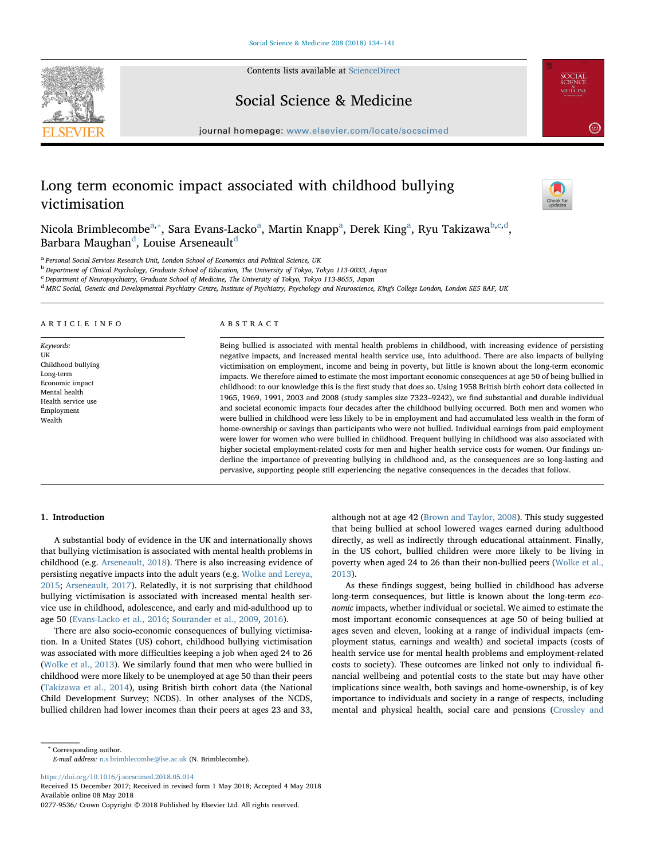Contents lists available at [ScienceDirect](http://www.sciencedirect.com/science/journal/02779536)





journal homepage: [www.elsevier.com/locate/socscimed](https://www.elsevier.com/locate/socscimed)

# Long term economic impact associated with childhood bullying victimisation



**SOCIAL**<br>SCIENCE<br>MEDICINE

 $\left(2.814\right)$ 

Nicol[a](#page-0-0) Brim[b](#page-0-2)lecombeª,\*, Sara Evans-Lackoª, Martin Knappª, Derek Kingª, Ryu Takizawa<sup>b[,c](#page-0-3)[,d](#page-0-4)</sup>, Barbara Maughan<sup>[d](#page-0-4)</sup>, Louise Arseneault<sup>d</sup>

<span id="page-0-0"></span><sup>a</sup> Personal Social Services Research Unit, London School of Economics and Political Science, UK

<span id="page-0-2"></span><sup>b</sup> Department of Clinical Psychology, Graduate School of Education, The University of Tokyo, Tokyo 113-0033, Japan

<span id="page-0-3"></span>c Department of Neuropsychiatry, Graduate School of Medicine, The University of Tokyo, Tokyo 113-8655, Japan

<span id="page-0-4"></span><sup>d</sup> MRC Social, Genetic and Developmental Psychiatry Centre, Institute of Psychiatry, Psychology and Neuroscience, King's College London, London SE5 8AF, UK

## ARTICLE INFO

Keywords: UK Childhood bullying Long-term Economic impact Mental health Health service use Employment Wealth

# ABSTRACT

Being bullied is associated with mental health problems in childhood, with increasing evidence of persisting negative impacts, and increased mental health service use, into adulthood. There are also impacts of bullying victimisation on employment, income and being in poverty, but little is known about the long-term economic impacts. We therefore aimed to estimate the most important economic consequences at age 50 of being bullied in childhood: to our knowledge this is the first study that does so. Using 1958 British birth cohort data collected in 1965, 1969, 1991, 2003 and 2008 (study samples size 7323–9242), we find substantial and durable individual and societal economic impacts four decades after the childhood bullying occurred. Both men and women who were bullied in childhood were less likely to be in employment and had accumulated less wealth in the form of home-ownership or savings than participants who were not bullied. Individual earnings from paid employment were lower for women who were bullied in childhood. Frequent bullying in childhood was also associated with higher societal employment-related costs for men and higher health service costs for women. Our findings underline the importance of preventing bullying in childhood and, as the consequences are so long-lasting and pervasive, supporting people still experiencing the negative consequences in the decades that follow.

## 1. Introduction

A substantial body of evidence in the UK and internationally shows that bullying victimisation is associated with mental health problems in childhood (e.g. [Arseneault, 2018](#page-6-0)). There is also increasing evidence of persisting negative impacts into the adult years (e.g. [Wolke and Lereya,](#page-7-0) [2015;](#page-7-0) [Arseneault, 2017](#page-6-1)). Relatedly, it is not surprising that childhood bullying victimisation is associated with increased mental health service use in childhood, adolescence, and early and mid-adulthood up to age 50 [\(Evans-Lacko et al., 2016](#page-7-1); [Sourander et al., 2009,](#page-7-2) [2016\)](#page-7-3).

There are also socio-economic consequences of bullying victimisation. In a United States (US) cohort, childhood bullying victimisation was associated with more difficulties keeping a job when aged 24 to 26 ([Wolke et al., 2013\)](#page-7-4). We similarly found that men who were bullied in childhood were more likely to be unemployed at age 50 than their peers ([Takizawa et al., 2014](#page-7-5)), using British birth cohort data (the National Child Development Survey; NCDS). In other analyses of the NCDS, bullied children had lower incomes than their peers at ages 23 and 33,

although not at age 42 ([Brown and Taylor, 2008](#page-6-2)). This study suggested that being bullied at school lowered wages earned during adulthood directly, as well as indirectly through educational attainment. Finally, in the US cohort, bullied children were more likely to be living in poverty when aged 24 to 26 than their non-bullied peers [\(Wolke et al.,](#page-7-4) [2013\)](#page-7-4).

As these findings suggest, being bullied in childhood has adverse long-term consequences, but little is known about the long-term economic impacts, whether individual or societal. We aimed to estimate the most important economic consequences at age 50 of being bullied at ages seven and eleven, looking at a range of individual impacts (employment status, earnings and wealth) and societal impacts (costs of health service use for mental health problems and employment-related costs to society). These outcomes are linked not only to individual financial wellbeing and potential costs to the state but may have other implications since wealth, both savings and home-ownership, is of key importance to individuals and society in a range of respects, including mental and physical health, social care and pensions [\(Crossley and](#page-6-3)

<span id="page-0-1"></span><sup>∗</sup> Corresponding author.

E-mail address: [n.s.brimblecombe@lse.ac.uk](mailto:n.s.brimblecombe@lse.ac.uk) (N. Brimblecombe).

<https://doi.org/10.1016/j.socscimed.2018.05.014>

Received 15 December 2017; Received in revised form 1 May 2018; Accepted 4 May 2018 Available online 08 May 2018

<sup>0277-9536/</sup> Crown Copyright © 2018 Published by Elsevier Ltd. All rights reserved.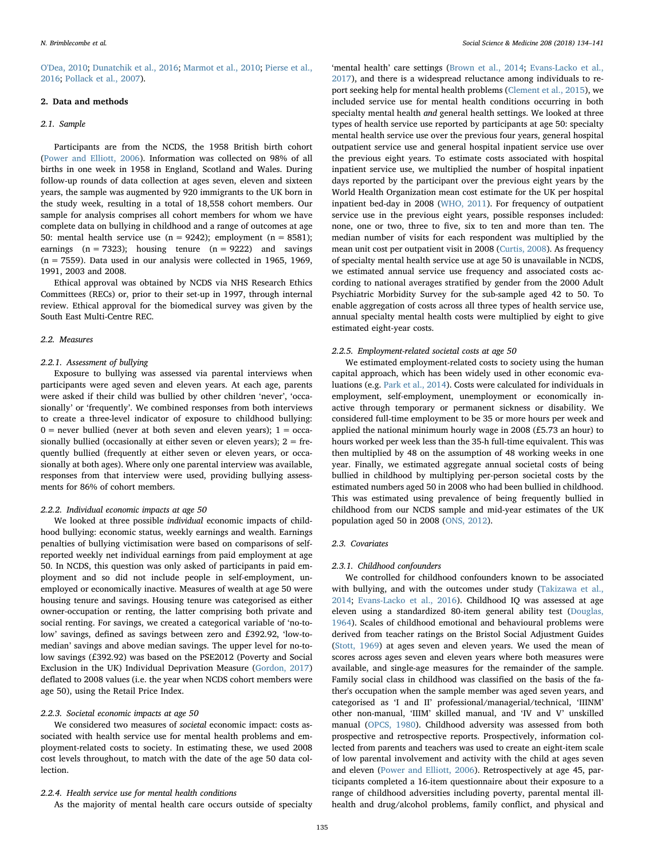[O'Dea, 2010;](#page-6-3) [Dunatchik et al., 2016;](#page-7-6) [Marmot et al., 2010](#page-7-7); [Pierse et al.,](#page-7-8) [2016;](#page-7-8) [Pollack et al., 2007\)](#page-7-9).

# 2. Data and methods

#### 2.1. Sample

Participants are from the NCDS, the 1958 British birth cohort ([Power and Elliott, 2006](#page-7-10)). Information was collected on 98% of all births in one week in 1958 in England, Scotland and Wales. During follow-up rounds of data collection at ages seven, eleven and sixteen years, the sample was augmented by 920 immigrants to the UK born in the study week, resulting in a total of 18,558 cohort members. Our sample for analysis comprises all cohort members for whom we have complete data on bullying in childhood and a range of outcomes at age 50: mental health service use  $(n = 9242)$ ; employment  $(n = 8581)$ ; earnings  $(n = 7323)$ ; housing tenure  $(n = 9222)$  and savings  $(n = 7559)$ . Data used in our analysis were collected in 1965, 1969, 1991, 2003 and 2008.

Ethical approval was obtained by NCDS via NHS Research Ethics Committees (RECs) or, prior to their set-up in 1997, through internal review. Ethical approval for the biomedical survey was given by the South East Multi-Centre REC.

#### 2.2. Measures

#### 2.2.1. Assessment of bullying

Exposure to bullying was assessed via parental interviews when participants were aged seven and eleven years. At each age, parents were asked if their child was bullied by other children 'never', 'occasionally' or 'frequently'. We combined responses from both interviews to create a three-level indicator of exposure to childhood bullying:  $0$  = never bullied (never at both seven and eleven years);  $1 = \text{occa}$ sionally bullied (occasionally at either seven or eleven years);  $2 = fre$ quently bullied (frequently at either seven or eleven years, or occasionally at both ages). Where only one parental interview was available, responses from that interview were used, providing bullying assessments for 86% of cohort members.

#### 2.2.2. Individual economic impacts at age 50

We looked at three possible individual economic impacts of childhood bullying: economic status, weekly earnings and wealth. Earnings penalties of bullying victimisation were based on comparisons of selfreported weekly net individual earnings from paid employment at age 50. In NCDS, this question was only asked of participants in paid employment and so did not include people in self-employment, unemployed or economically inactive. Measures of wealth at age 50 were housing tenure and savings. Housing tenure was categorised as either owner-occupation or renting, the latter comprising both private and social renting. For savings, we created a categorical variable of 'no-tolow' savings, defined as savings between zero and £392.92, 'low-tomedian' savings and above median savings. The upper level for no-tolow savings (£392.92) was based on the PSE2012 (Poverty and Social Exclusion in the UK) Individual Deprivation Measure ([Gordon, 2017\)](#page-7-11) deflated to 2008 values (i.e. the year when NCDS cohort members were age 50), using the Retail Price Index.

## 2.2.3. Societal economic impacts at age 50

We considered two measures of societal economic impact: costs associated with health service use for mental health problems and employment-related costs to society. In estimating these, we used 2008 cost levels throughout, to match with the date of the age 50 data collection.

## 2.2.4. Health service use for mental health conditions

As the majority of mental health care occurs outside of specialty

'mental health' care settings [\(Brown et al., 2014;](#page-6-4) [Evans-Lacko](#page-7-12) et al., [2017\)](#page-7-12), and there is a widespread reluctance among individuals to report seeking help for mental health problems [\(Clement et al., 2015](#page-6-5)), we included service use for mental health conditions occurring in both specialty mental health and general health settings. We looked at three types of health service use reported by participants at age 50: specialty mental health service use over the previous four years, general hospital outpatient service use and general hospital inpatient service use over the previous eight years. To estimate costs associated with hospital inpatient service use, we multiplied the number of hospital inpatient days reported by the participant over the previous eight years by the World Health Organization mean cost estimate for the UK per hospital inpatient bed-day in 2008 [\(WHO, 2011\)](#page-7-13). For frequency of outpatient service use in the previous eight years, possible responses included: none, one or two, three to five, six to ten and more than ten. The median number of visits for each respondent was multiplied by the mean unit cost per outpatient visit in 2008 ([Curtis, 2008\)](#page-6-6). As frequency of specialty mental health service use at age 50 is unavailable in NCDS, we estimated annual service use frequency and associated costs according to national averages stratified by gender from the 2000 Adult Psychiatric Morbidity Survey for the sub-sample aged 42 to 50. To enable aggregation of costs across all three types of health service use, annual specialty mental health costs were multiplied by eight to give estimated eight-year costs.

#### 2.2.5. Employment-related societal costs at age 50

We estimated employment-related costs to society using the human capital approach, which has been widely used in other economic evaluations (e.g. [Park et al., 2014](#page-7-14)). Costs were calculated for individuals in employment, self-employment, unemployment or economically inactive through temporary or permanent sickness or disability. We considered full-time employment to be 35 or more hours per week and applied the national minimum hourly wage in 2008 (£5.73 an hour) to hours worked per week less than the 35-h full-time equivalent. This was then multiplied by 48 on the assumption of 48 working weeks in one year. Finally, we estimated aggregate annual societal costs of being bullied in childhood by multiplying per-person societal costs by the estimated numbers aged 50 in 2008 who had been bullied in childhood. This was estimated using prevalence of being frequently bullied in childhood from our NCDS sample and mid-year estimates of the UK population aged 50 in 2008 ([ONS, 2012](#page-7-15)).

#### 2.3. Covariates

## 2.3.1. Childhood confounders

We controlled for childhood confounders known to be associated with bullying, and with the outcomes under study [\(Takizawa et al.,](#page-7-5) [2014;](#page-7-5) [Evans-Lacko et al., 2016\)](#page-7-1). Childhood IQ was assessed at age eleven using a standardized 80-item general ability test [\(Douglas,](#page-7-16) [1964\)](#page-7-16). Scales of childhood emotional and behavioural problems were derived from teacher ratings on the Bristol Social Adjustment Guides ([Stott, 1969](#page-7-17)) at ages seven and eleven years. We used the mean of scores across ages seven and eleven years where both measures were available, and single-age measures for the remainder of the sample. Family social class in childhood was classified on the basis of the father's occupation when the sample member was aged seven years, and categorised as 'I and II' professional/managerial/technical, 'IIINM' other non-manual, 'IIIM' skilled manual, and 'IV and V' unskilled manual ([OPCS, 1980\)](#page-7-18). Childhood adversity was assessed from both prospective and retrospective reports. Prospectively, information collected from parents and teachers was used to create an eight-item scale of low parental involvement and activity with the child at ages seven and eleven (Power [and Elliott, 2006](#page-7-10)). Retrospectively at age 45, participants completed a 16-item questionnaire about their exposure to a range of childhood adversities including poverty, parental mental illhealth and drug/alcohol problems, family conflict, and physical and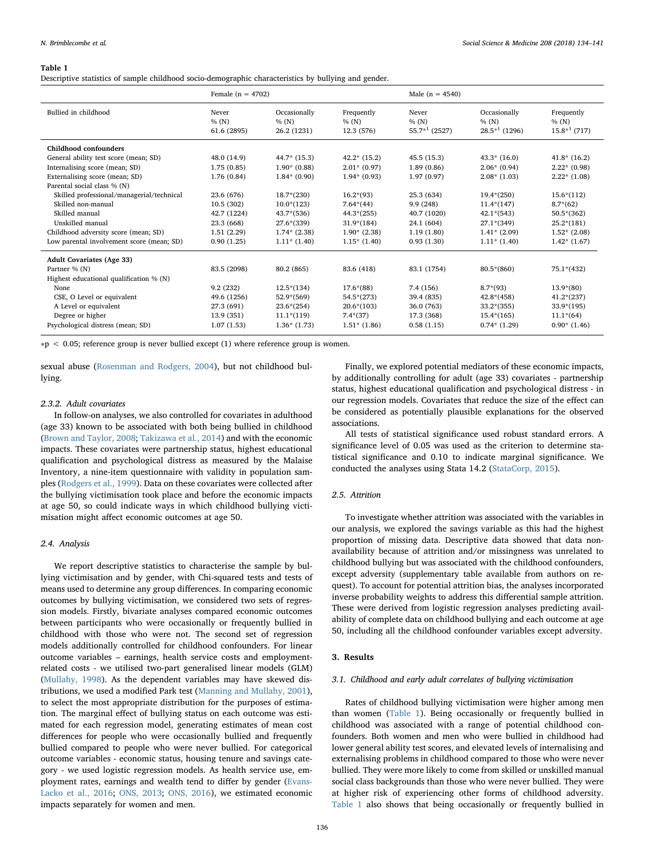<span id="page-2-0"></span>Descriptive statistics of sample childhood socio-demographic characteristics by bullying and gender.

|                                           | Female ( $n = 4702$ )         |                                      |                                   | Male ( $n = 4540$ )              |                                           |                                     |
|-------------------------------------------|-------------------------------|--------------------------------------|-----------------------------------|----------------------------------|-------------------------------------------|-------------------------------------|
| Bullied in childhood                      | Never<br>% (N)<br>61.6 (2895) | Occasionally<br>% (N)<br>26.2 (1231) | Frequently<br>% (N)<br>12.3 (576) | Never<br>% (N)<br>$55.7*1(2527)$ | Occasionally<br>% (N)<br>$28.5*^1$ (1296) | Frequently<br>%(N)<br>$15.8*1(717)$ |
| Childhood confounders                     |                               |                                      |                                   |                                  |                                           |                                     |
| General ability test score (mean; SD)     | 48.0 (14.9)                   | $44.7*$ (15.3)                       | $42.2*$ (15.2)                    | 45.5(15.3)                       | $43.3*$ (16.0)                            | $41.8*(16.2)$                       |
| Internalising score (mean; SD)            | 1.75(0.85)                    | $1.90*(0.88)$                        | $2.01*(0.97)$                     | 1.89(0.86)                       | $2.06*$ (0.94)                            | $2.22*(0.98)$                       |
| Externalising score (mean; SD)            | 1.76(0.84)                    | $1.84*(0.90)$                        | $1.94*(0.93)$                     | 1.97(0.97)                       | $2.08*(1.03)$                             | $2.22*(1.08)$                       |
| Parental social class % (N)               |                               |                                      |                                   |                                  |                                           |                                     |
| Skilled professional/managerial/technical | 23.6 (676)                    | $18.7*(230)$                         | $16.2*(93)$                       | 25.3 (634)                       | $19.4*(250)$                              | $15.6*(112)$                        |
| Skilled non-manual                        | 10.5(302)                     | $10.0*(123)$                         | $7.64*(44)$                       | 9.9(248)                         | $11.4*(147)$                              | $8.7*(62)$                          |
| Skilled manual                            | 42.7 (1224)                   | $43.7*(536)$                         | $44.3*(255)$                      | 40.7 (1020)                      | $42.1*(543)$                              | $50.5*(362)$                        |
| Unskilled manual                          | 23.3 (668)                    | $27.6*(339)$                         | $31.9*(184)$                      | 24.1 (604)                       | $27.1*(349)$                              | $25.2*(181)$                        |
| Childhood adversity score (mean; SD)      | 1.51(2.29)                    | $1.74*(2.38)$                        | $1.90*(2.38)$                     | 1.19(1.80)                       | $1.41*(2.09)$                             | $1.52*(2.08)$                       |
| Low parental involvement score (mean; SD) | 0.90(1.25)                    | $1.11*(1.40)$                        | $1.15*(1.40)$                     | 0.93(1.30)                       | $1.11*(1.40)$                             | $1.42*(1.67)$                       |
| <b>Adult Covariates (Age 33)</b>          |                               |                                      |                                   |                                  |                                           |                                     |
| Partner % (N)                             | 83.5 (2098)                   | 80.2 (865)                           | 83.6 (418)                        | 83.1 (1754)                      | $80.5*(860)$                              | 75.1*(432)                          |
| Highest educational qualification % (N)   |                               |                                      |                                   |                                  |                                           |                                     |
| None                                      | 9.2(232)                      | $12.5*(134)$                         | $17.6*(88)$                       | 7.4(156)                         | $8.7*(93)$                                | $13.9*(80)$                         |
| CSE, O Level or equivalent                | 49.6 (1256)                   | $52.9*(569)$                         | $54.5*(273)$                      | 39.4 (835)                       | $42.8*(458)$                              | $41.2*(237)$                        |
| A Level or equivalent                     | 27.3 (691)                    | $23.6*(254)$                         | $20.6*(103)$                      | 36.0 (763)                       | $33.2*(355)$                              | $33.9*(195)$                        |
| Degree or higher                          | 13.9 (351)                    | $11.1*(119)$                         | $7.4*(37)$                        | 17.3 (368)                       | $15.4*(165)$                              | $11.1*(64)$                         |
| Psychological distress (mean; SD)         | 1.07(1.53)                    | $1.36*(1.73)$                        | $1.51*(1.86)$                     | 0.58(1.15)                       | $0.74*(1.29)$                             | $0.90*(1.46)$                       |

∗p < 0.05; reference group is never bullied except (1) where reference group is women.

sexual abuse ([Rosenman and Rodgers, 2004\)](#page-7-19), but not childhood bullying.

## 2.3.2. Adult covariates

In follow-on analyses, we also controlled for covariates in adulthood (age 33) known to be associated with both being bullied in childhood ([Brown and Taylor, 2008](#page-6-2); [Takizawa et al., 2014](#page-7-5)) and with the economic impacts. These covariates were partnership status, highest educational qualification and psychological distress as measured by the Malaise Inventory, a nine-item questionnaire with validity in population samples [\(Rodgers et al., 1999\)](#page-7-20). Data on these covariates were collected after the bullying victimisation took place and before the economic impacts at age 50, so could indicate ways in which childhood bullying victimisation might affect economic outcomes at age 50.

#### 2.4. Analysis

We report descriptive statistics to characterise the sample by bullying victimisation and by gender, with Chi-squared tests and tests of means used to determine any group differences. In comparing economic outcomes by bullying victimisation, we considered two sets of regression models. Firstly, bivariate analyses compared economic outcomes between participants who were occasionally or frequently bullied in childhood with those who were not. The second set of regression models additionally controlled for childhood confounders. For linear outcome variables – earnings, health service costs and employmentrelated costs - we utilised two-part generalised linear models (GLM) ([Mullahy, 1998\)](#page-7-21). As the dependent variables may have skewed distributions, we used a modified Park test [\(Manning and Mullahy, 2001](#page-7-22)), to select the most appropriate distribution for the purposes of estimation. The marginal effect of bullying status on each outcome was estimated for each regression model, generating estimates of mean cost differences for people who were occasionally bullied and frequently bullied compared to people who were never bullied. For categorical outcome variables - economic status, housing tenure and savings category - we used logistic regression models. As health service use, employment rates, earnings and wealth tend to differ by gender [\(Evans-](#page-7-1)[Lacko et al., 2016](#page-7-1); [ONS, 2013;](#page-7-23) [ONS, 2016\)](#page-7-24), we estimated economic impacts separately for women and men.

Finally, we explored potential mediators of these economic impacts, by additionally controlling for adult (age 33) covariates - partnership status, highest educational qualification and psychological distress - in our regression models. Covariates that reduce the size of the effect can be considered as potentially plausible explanations for the observed associations.

All tests of statistical significance used robust standard errors. A significance level of 0.05 was used as the criterion to determine statistical significance and 0.10 to indicate marginal significance. We conducted the analyses using Stata 14.2 ([StataCorp, 2015](#page-7-25)).

#### 2.5. Attrition

To investigate whether attrition was associated with the variables in our analysis, we explored the savings variable as this had the highest proportion of missing data. Descriptive data showed that data nonavailability because of attrition and/or missingness was unrelated to childhood bullying but was associated with the childhood confounders, except adversity (supplementary table available from authors on request). To account for potential attrition bias, the analyses incorporated inverse probability weights to address this differential sample attrition. These were derived from logistic regression analyses predicting availability of complete data on childhood bullying and each outcome at age 50, including all the childhood confounder variables except adversity.

## 3. Results

## 3.1. Childhood and early adult correlates of bullying victimisation

Rates of childhood bullying victimisation were higher among men than women ([Table 1](#page-2-0)). Being occasionally or frequently bullied in childhood was associated with a range of potential childhood confounders. Both women and men who were bullied in childhood had lower general ability test scores, and elevated levels of internalising and externalising problems in childhood compared to those who were never bullied. They were more likely to come from skilled or unskilled manual social class backgrounds than those who were never bullied. They were at higher risk of experiencing other forms of childhood adversity. [Table 1](#page-2-0) also shows that being occasionally or frequently bullied in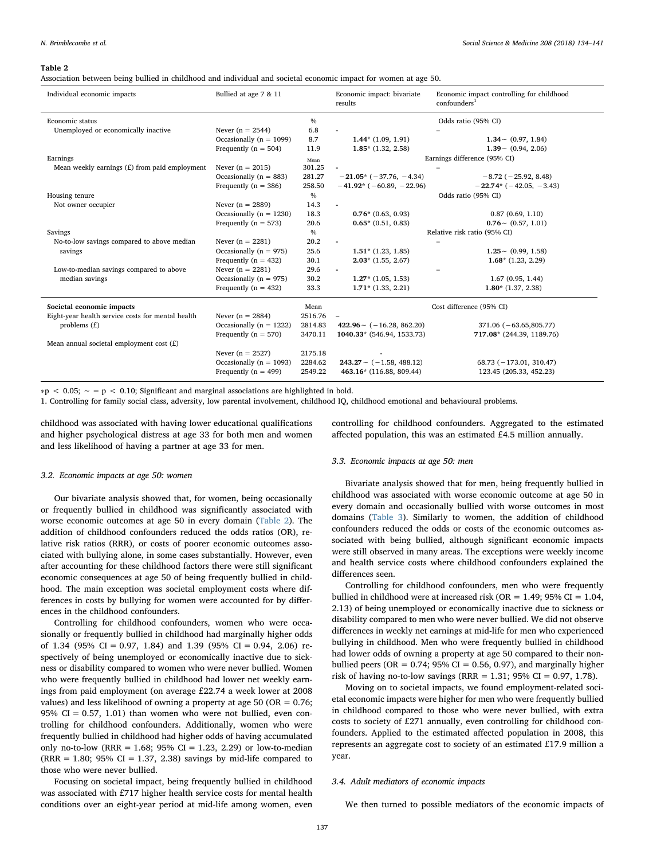<span id="page-3-0"></span>Association between being bullied in childhood and individual and societal economic impact for women at age 50.

| Individual economic impacts                       | Bullied at age 7 & 11       |         | Economic impact: bivariate<br>results | Economic impact controlling for childhood<br>confounders <sup>1</sup> |  |
|---------------------------------------------------|-----------------------------|---------|---------------------------------------|-----------------------------------------------------------------------|--|
| Economic status                                   |                             | $\%$    |                                       | Odds ratio (95% CI)                                                   |  |
| Unemployed or economically inactive               | Never $(n = 2544)$          | 6.8     |                                       |                                                                       |  |
|                                                   | Occasionally ( $n = 1099$ ) | 8.7     | $1.44*$ (1.09, 1.91)                  | $1.34 \sim (0.97, 1.84)$                                              |  |
|                                                   | Frequently ( $n = 504$ )    | 11.9    | $1.85*$ (1.32, 2.58)                  | $1.39 \sim (0.94, 2.06)$                                              |  |
| Earnings                                          |                             | Mean    |                                       | Earnings difference (95% CI)                                          |  |
| Mean weekly earnings $(E)$ from paid employment   | Never $(n = 2015)$          | 301.25  |                                       |                                                                       |  |
|                                                   | Occasionally ( $n = 883$ )  | 281.27  | $-21.05* (-37.76, -4.34)$             | $-8.72$ ( $-25.92$ , 8.48)                                            |  |
|                                                   | Frequently ( $n = 386$ )    | 258.50  | $-41.92$ * (-60.89, -22.96)           | $-22.74*$ (-42.05, -3.43)                                             |  |
| Housing tenure                                    |                             | $\%$    |                                       | Odds ratio (95% CI)                                                   |  |
| Not owner occupier                                | Never $(n = 2889)$          | 14.3    |                                       |                                                                       |  |
|                                                   | Occasionally ( $n = 1230$ ) | 18.3    | $0.76*$ (0.63, 0.93)                  | 0.87(0.69, 1.10)                                                      |  |
|                                                   | Frequently ( $n = 573$ )    | 20.6    | $0.65*$ (0.51, 0.83)                  | $0.76 \sim (0.57, 1.01)$                                              |  |
| Savings                                           |                             | $\%$    | Relative risk ratio (95% CI)          |                                                                       |  |
| No-to-low savings compared to above median        | Never $(n = 2281)$          | 20.2    | $\blacksquare$                        |                                                                       |  |
| savings                                           | Occasionally ( $n = 975$ )  | 25.6    | $1.51*$ (1.23, 1.85)                  | $1.25 \sim (0.99, 1.58)$                                              |  |
|                                                   | Frequently ( $n = 432$ )    | 30.1    | $2.03*$ (1.55, 2.67)                  | $1.68*$ (1.23, 2.29)                                                  |  |
| Low-to-median savings compared to above           | Never $(n = 2281)$          | 29.6    | $\sim$                                | $\overline{\phantom{a}}$                                              |  |
| median savings                                    | Occasionally ( $n = 975$ )  | 30.2    | $1.27*(1.05, 1.53)$                   | 1.67(0.95, 1.44)                                                      |  |
|                                                   | Frequently ( $n = 432$ )    | 33.3    | $1.71*$ (1.33, 2.21)                  | $1.80*$ (1.37, 2.38)                                                  |  |
| Societal economic impacts                         |                             | Mean    |                                       | Cost difference (95% CI)                                              |  |
| Eight-year health service costs for mental health | Never $(n = 2884)$          | 2516.76 | $\qquad \qquad -$                     |                                                                       |  |
| problems $(f)$                                    | Occasionally ( $n = 1222$ ) | 2814.83 | $422.96 \sim (-16.28, 862.20)$        | $371.06 (-63.65, 805.77)$                                             |  |
|                                                   | Frequently ( $n = 570$ )    | 3470.11 | 1040.33* (546.94, 1533.73)            | 717.08* (244.39, 1189.76)                                             |  |
| Mean annual societal employment cost $(E)$        |                             |         |                                       |                                                                       |  |
|                                                   | Never $(n = 2527)$          | 2175.18 |                                       |                                                                       |  |
|                                                   | Occasionally ( $n = 1093$ ) | 2284.62 | $243.27 \sim (-1.58, 488.12)$         | $68.73 (-173.01, 310.47)$                                             |  |
|                                                   | Frequently ( $n = 499$ )    | 2549.22 | 463.16* (116.88, 809.44)              | 123.45 (205.33, 452.23)                                               |  |

∗p < 0.05; ∼ = p < 0.10; Significant and marginal associations are highlighted in bold.

1. Controlling for family social class, adversity, low parental involvement, childhood IQ, childhood emotional and behavioural problems.

childhood was associated with having lower educational qualifications and higher psychological distress at age 33 for both men and women and less likelihood of having a partner at age 33 for men.

## 3.2. Economic impacts at age 50: women

Our bivariate analysis showed that, for women, being occasionally or frequently bullied in childhood was significantly associated with worse economic outcomes at age 50 in every domain [\(Table 2\)](#page-3-0). The addition of childhood confounders reduced the odds ratios (OR), relative risk ratios (RRR), or costs of poorer economic outcomes associated with bullying alone, in some cases substantially. However, even after accounting for these childhood factors there were still significant economic consequences at age 50 of being frequently bullied in childhood. The main exception was societal employment costs where differences in costs by bullying for women were accounted for by differences in the childhood confounders.

Controlling for childhood confounders, women who were occasionally or frequently bullied in childhood had marginally higher odds of 1.34 (95% CI = 0.97, 1.84) and 1.39 (95% CI = 0.94, 2.06) respectively of being unemployed or economically inactive due to sickness or disability compared to women who were never bullied. Women who were frequently bullied in childhood had lower net weekly earnings from paid employment (on average £22.74 a week lower at 2008 values) and less likelihood of owning a property at age 50 (OR  $= 0.76$ ; 95% CI =  $0.57$ , 1.01) than women who were not bullied, even controlling for childhood confounders. Additionally, women who were frequently bullied in childhood had higher odds of having accumulated only no-to-low (RRR =  $1.68$ ;  $95\%$  CI =  $1.23$ ,  $2.29$ ) or low-to-median  $(RRR = 1.80; 95\% CI = 1.37, 2.38)$  savings by mid-life compared to those who were never bullied.

Focusing on societal impact, being frequently bullied in childhood was associated with £717 higher health service costs for mental health conditions over an eight-year period at mid-life among women, even

controlling for childhood confounders. Aggregated to the estimated affected population, this was an estimated £4.5 million annually.

#### 3.3. Economic impacts at age 50: men

Bivariate analysis showed that for men, being frequently bullied in childhood was associated with worse economic outcome at age 50 in every domain and occasionally bullied with worse outcomes in most domains ([Table 3](#page-4-0)). Similarly to women, the addition of childhood confounders reduced the odds or costs of the economic outcomes associated with being bullied, although significant economic impacts were still observed in many areas. The exceptions were weekly income and health service costs where childhood confounders explained the differences seen.

Controlling for childhood confounders, men who were frequently bullied in childhood were at increased risk (OR = 1.49; 95% CI = 1.04, 2.13) of being unemployed or economically inactive due to sickness or disability compared to men who were never bullied. We did not observe differences in weekly net earnings at mid-life for men who experienced bullying in childhood. Men who were frequently bullied in childhood had lower odds of owning a property at age 50 compared to their nonbullied peers (OR =  $0.74$ ; 95% CI = 0.56, 0.97), and marginally higher risk of having no-to-low savings (RRR =  $1.31$ ; 95% CI = 0.97, 1.78).

Moving on to societal impacts, we found employment-related societal economic impacts were higher for men who were frequently bullied in childhood compared to those who were never bullied, with extra costs to society of £271 annually, even controlling for childhood confounders. Applied to the estimated affected population in 2008, this represents an aggregate cost to society of an estimated £17.9 million a year.

## 3.4. Adult mediators of economic impacts

We then turned to possible mediators of the economic impacts of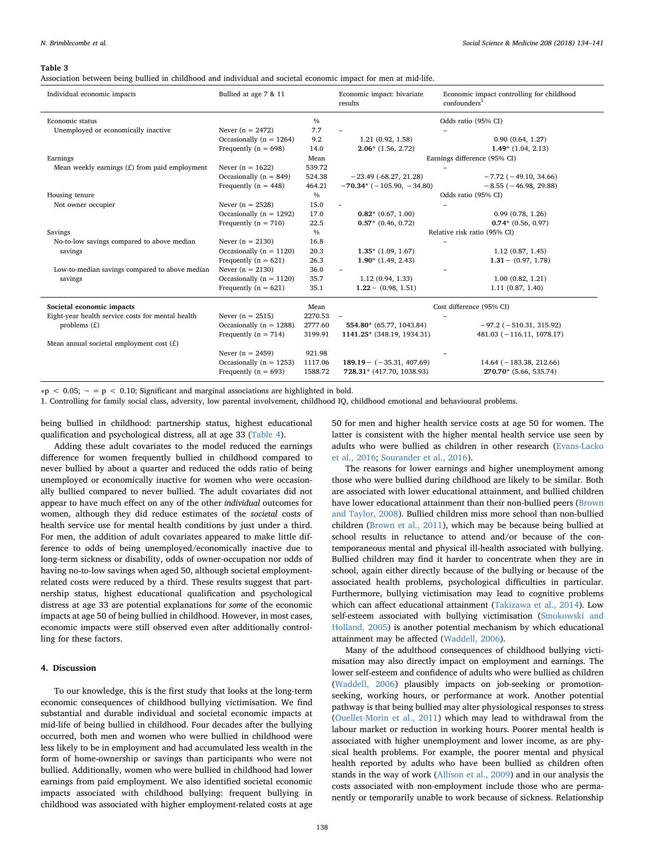<span id="page-4-0"></span>Association between being bullied in childhood and individual and societal economic impact for men at mid-life.

| Individual economic impacts                       | Bullied at age 7 & 11        |               | Economic impact: bivariate<br>results | Economic impact controlling for childhood<br>confounders <sup>1</sup> |  |
|---------------------------------------------------|------------------------------|---------------|---------------------------------------|-----------------------------------------------------------------------|--|
| Economic status                                   |                              | $\frac{0}{0}$ |                                       | Odds ratio (95% CI)                                                   |  |
| Unemployed or economically inactive               | Never $(n = 2472)$           | 7.7           |                                       |                                                                       |  |
|                                                   | Occasionally ( $n = 1264$ )  | 9.2           | 1.21(0.92, 1.58)                      | 0.90(0.64, 1.27)                                                      |  |
|                                                   | Frequently ( $n = 698$ )     | 14.0          | $2.06*$ (1.56, 2.72)                  | $1.49*$ (1.04, 2.13)                                                  |  |
| Earnings                                          |                              | Mean          |                                       | Earnings difference (95% CI)                                          |  |
| Mean weekly earnings $(E)$ from paid employment   | Never $(n = 1622)$<br>539.72 |               |                                       |                                                                       |  |
|                                                   | Occasionally ( $n = 849$ )   | 524.38        | $-23.49$ ( $-68.27, 21.28$ )          | $-7.72$ ( $-49.10$ , 34.66)                                           |  |
|                                                   | Frequently ( $n = 448$ )     | 464.21        | $-70.34*$ ( $-105.90, -34.80$ )       | $-8.55$ ( $-46.98$ , 29.88)                                           |  |
| Housing tenure                                    |                              | $\frac{0}{0}$ |                                       | Odds ratio (95% CI)                                                   |  |
| Not owner occupier                                | Never $(n = 2528)$           | 15.0          |                                       |                                                                       |  |
|                                                   | Occasionally ( $n = 1292$ )  | 17.0          | $0.82*$ (0.67, 1.00)                  | 0.99(0.78, 1.26)                                                      |  |
|                                                   | Frequently ( $n = 710$ )     | 22.5          | $0.57*(0.46, 0.72)$                   | $0.74*$ (0.56, 0.97)                                                  |  |
| Savings                                           |                              | $\frac{0}{0}$ | Relative risk ratio (95% CI)          |                                                                       |  |
| No-to-low savings compared to above median        | Never $(n = 2130)$           | 16.8          |                                       |                                                                       |  |
| savings                                           | Occasionally ( $n = 1120$ )  | 20.3          | $1.35*$ (1.09, 1.67)                  | 1.12(0.87, 1.45)                                                      |  |
|                                                   | Frequently ( $n = 621$ )     | 26.3          | $1.90*(1.49, 2.43)$                   | $1.31 \sim (0.97, 1.78)$                                              |  |
| Low-to-median savings compared to above median    | Never $(n = 2130)$           | 36.0          |                                       |                                                                       |  |
| savings                                           | Occasionally ( $n = 1120$ )  | 35.7          | 1.12(0.94, 1.33)                      | 1.00(0.82, 1.21)                                                      |  |
|                                                   | Frequently ( $n = 621$ )     | 35.1          | $1.22 \sim (0.98, 1.51)$              | 1.11(0.87, 1.40)                                                      |  |
| Societal economic impacts                         |                              | Mean          |                                       | Cost difference (95% CI)                                              |  |
| Eight-year health service costs for mental health | Never $(n = 2515)$           |               |                                       |                                                                       |  |
| problems $(f)$                                    | Occasionally ( $n = 1288$ )  | 2777.60       | 554.80* (65.77, 1043.84)              | $-97.2$ ( $-510.31$ , 315.92)                                         |  |
|                                                   | Frequently ( $n = 714$ )     | 3199.91       | 1141.25* (348.19, 1934.31)            | $481.03 (-116.11, 1078.17)$                                           |  |
| Mean annual societal employment cost $(E)$        |                              |               |                                       |                                                                       |  |
|                                                   | Never $(n = 2459)$           | 921.98        |                                       |                                                                       |  |
|                                                   | Occasionally ( $n = 1253$ )  | 1117.06       | $189.19 - (-35.31, 407.69)$           | $14.64$ ( $-183.38$ , 212.66)                                         |  |
|                                                   | Frequently ( $n = 693$ )     | 1588.72       | 728.31* (417.70, 1038.93)             | 270.70* (5.66, 535.74)                                                |  |

∗p < 0.05; ∼ = p < 0.10; Significant and marginal associations are highlighted in bold.

1. Controlling for family social class, adversity, low parental involvement, childhood IQ, childhood emotional and behavioural problems.

being bullied in childhood: partnership status, highest educational qualification and psychological distress, all at age 33 [\(Table 4](#page-5-0)).

Adding these adult covariates to the model reduced the earnings difference for women frequently bullied in childhood compared to never bullied by about a quarter and reduced the odds ratio of being unemployed or economically inactive for women who were occasionally bullied compared to never bullied. The adult covariates did not appear to have much effect on any of the other individual outcomes for women, although they did reduce estimates of the societal costs of health service use for mental health conditions by just under a third. For men, the addition of adult covariates appeared to make little difference to odds of being unemployed/economically inactive due to long-term sickness or disability, odds of owner-occupation nor odds of having no-to-low savings when aged 50, although societal employmentrelated costs were reduced by a third. These results suggest that partnership status, highest educational qualification and psychological distress at age 33 are potential explanations for some of the economic impacts at age 50 of being bullied in childhood. However, in most cases, economic impacts were still observed even after additionally controlling for these factors.

# 4. Discussion

To our knowledge, this is the first study that looks at the long-term economic consequences of childhood bullying victimisation. We find substantial and durable individual and societal economic impacts at mid-life of being bullied in childhood. Four decades after the bullying occurred, both men and women who were bullied in childhood were less likely to be in employment and had accumulated less wealth in the form of home-ownership or savings than participants who were not bullied. Additionally, women who were bullied in childhood had lower earnings from paid employment. We also identified societal economic impacts associated with childhood bullying: frequent bullying in childhood was associated with higher employment-related costs at age

50 for men and higher health service costs at age 50 for women. The latter is consistent with the higher mental health service use seen by adults who were bullied as children in other research ([Evans-Lacko](#page-7-1) [et al., 2016](#page-7-1); [Sourander et al., 2016\)](#page-7-3).

The reasons for lower earnings and higher unemployment among those who were bullied during childhood are likely to be similar. Both are associated with lower educational attainment, and bullied children have lower educational attainment than their non-bullied peers ([Brown](#page-6-2) [and Taylor, 2008\)](#page-6-2). Bullied children miss more school than non-bullied children ([Brown et al., 2011\)](#page-6-7), which may be because being bullied at school results in reluctance to attend and/or because of the contemporaneous mental and physical ill-health associated with bullying. Bullied children may find it harder to concentrate when they are in school, again either directly because of the bullying or because of the associated health problems, psychological difficulties in particular. Furthermore, bullying victimisation may lead to cognitive problems which can affect educational attainment ([Takizawa et al., 2014\)](#page-7-5). Low self-esteem associated with bullying victimisation ([Smokowski and](#page-7-26) [Holland, 2005\)](#page-7-26) is another potential mechanism by which educational attainment may be affected ([Waddell, 2006\)](#page-7-27).

Many of the adulthood consequences of childhood bullying victimisation may also directly impact on employment and earnings. The lower self-esteem and confidence of adults who were bullied as children ([Waddell, 2006\)](#page-7-27) plausibly impacts on job-seeking or promotionseeking, working hours, or performance at work. Another potential pathway is that being bullied may alter physiological responses to stress ([Ouellet-Morin et al., 2011\)](#page-7-28) which may lead to withdrawal from the labour market or reduction in working hours. Poorer mental health is associated with higher unemployment and lower income, as are physical health problems. For example, the poorer mental and physical health reported by adults who have been bullied as children often stands in the way of work ([Allison et al., 2009](#page-6-8)) and in our analysis the costs associated with non-employment include those who are permanently or temporarily unable to work because of sickness. Relationship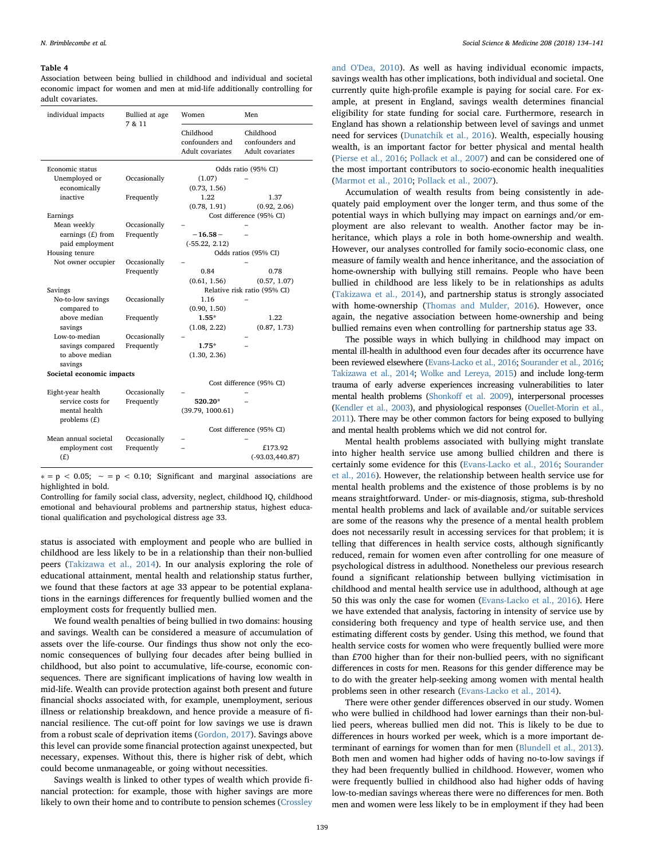<span id="page-5-0"></span>Association between being bullied in childhood and individual and societal economic impact for women and men at mid-life additionally controlling for adult covariates.

| individual impacts        | Bullied at age<br>7 & 11 |                                                  | Men                                              |  |
|---------------------------|--------------------------|--------------------------------------------------|--------------------------------------------------|--|
|                           |                          | Childhood<br>confounders and<br>Adult covariates | Childhood<br>confounders and<br>Adult covariates |  |
| Economic status           |                          | Odds ratio (95% CI)                              |                                                  |  |
| Unemployed or             | Occasionally             | (1.07)                                           |                                                  |  |
| economically              |                          | (0.73, 1.56)                                     |                                                  |  |
| inactive                  | Frequently               | 1.22                                             | 1.37                                             |  |
|                           |                          | (0.78, 1.91)                                     | (0.92, 2.06)                                     |  |
| Earnings                  |                          |                                                  | Cost difference (95% CI)                         |  |
| Mean weekly               | Occasionally             |                                                  |                                                  |  |
| earnings $(E)$ from       | Frequently               | $-16.58-$                                        |                                                  |  |
| paid employment           |                          | $(-55.22, 2.12)$                                 |                                                  |  |
| Housing tenure            |                          |                                                  | Odds ratios (95% CI)                             |  |
| Not owner occupier        | Occasionally             |                                                  |                                                  |  |
|                           | Frequently               | 0.84                                             | 0.78                                             |  |
|                           |                          | (0.61, 1.56)                                     | (0.57, 1.07)                                     |  |
| Savings                   |                          |                                                  | Relative risk ratio (95% CI)                     |  |
| No-to-low savings         | Occasionally             | 1.16                                             |                                                  |  |
| compared to               |                          | (0.90, 1.50)                                     |                                                  |  |
| above median              | Frequently               | $1.55*$                                          | 122                                              |  |
| savings                   |                          | (1.08, 2.22)                                     | (0.87, 1.73)                                     |  |
| Low-to-median             | Occasionally             |                                                  |                                                  |  |
| savings compared          | Frequently               | $1.75*$                                          |                                                  |  |
| to above median           |                          | (1.30, 2.36)                                     |                                                  |  |
| savings                   |                          |                                                  |                                                  |  |
| Societal economic impacts |                          |                                                  |                                                  |  |
|                           |                          |                                                  | Cost difference (95% CI)                         |  |
| Eight-year health         | Occasionally             |                                                  |                                                  |  |
| service costs for         | Frequently               | 520.20*                                          |                                                  |  |
| mental health             |                          | (39.79, 1000.61)                                 |                                                  |  |
| problems $(f)$            |                          |                                                  |                                                  |  |
|                           |                          | Cost difference (95% CI)                         |                                                  |  |
| Mean annual societal      | Occasionally             |                                                  |                                                  |  |
| employment cost           | Frequently               |                                                  | £173.92                                          |  |
| (E)                       |                          |                                                  | $(-93.03, 440.87)$                               |  |
|                           |                          |                                                  |                                                  |  |

 $* = p < 0.05$ ;  $\sim = p < 0.10$ ; Significant and marginal associations are highlighted in bold.

Controlling for family social class, adversity, neglect, childhood IQ, childhood emotional and behavioural problems and partnership status, highest educational qualification and psychological distress age 33.

status is associated with employment and people who are bullied in childhood are less likely to be in a relationship than their non-bullied peers [\(Takizawa et al., 2014\)](#page-7-5). In our analysis exploring the role of educational attainment, mental health and relationship status further, we found that these factors at age 33 appear to be potential explanations in the earnings differences for frequently bullied women and the employment costs for frequently bullied men.

We found wealth penalties of being bullied in two domains: housing and savings. Wealth can be considered a measure of accumulation of assets over the life-course. Our findings thus show not only the economic consequences of bullying four decades after being bullied in childhood, but also point to accumulative, life-course, economic consequences. There are significant implications of having low wealth in mid-life. Wealth can provide protection against both present and future financial shocks associated with, for example, unemployment, serious illness or relationship breakdown, and hence provide a measure of financial resilience. The cut-off point for low savings we use is drawn from a robust scale of deprivation items ([Gordon, 2017](#page-7-11)). Savings above this level can provide some financial protection against unexpected, but necessary, expenses. Without this, there is higher risk of debt, which could become unmanageable, or going without necessities.

Savings wealth is linked to other types of wealth which provide financial protection: for example, those with higher savings are more likely to own their home and to contribute to pension schemes [\(Crossley](#page-6-3)

[and O'Dea, 2010](#page-6-3)). As well as having individual economic impacts, savings wealth has other implications, both individual and societal. One currently quite high-profile example is paying for social care. For example, at present in England, savings wealth determines financial eligibility for state funding for social care. Furthermore, research in England has shown a relationship between level of savings and unmet need for services [\(Dunatchik et al., 2016\)](#page-7-6). Wealth, especially housing wealth, is an important factor for better physical and mental health ([Pierse et al., 2016;](#page-7-8) [Pollack et al., 2007\)](#page-7-9) and can be considered one of the most important contributors to socio-economic health inequalities ([Marmot et al., 2010;](#page-7-7) [Pollack et al., 2007](#page-7-9)).

Accumulation of wealth results from being consistently in adequately paid employment over the longer term, and thus some of the potential ways in which bullying may impact on earnings and/or employment are also relevant to wealth. Another factor may be inheritance, which plays a role in both home-ownership and wealth. However, our analyses controlled for family socio-economic class, one measure of family wealth and hence inheritance, and the association of home-ownership with bullying still remains. People who have been bullied in childhood are less likely to be in relationships as adults ([Takizawa et al., 2014](#page-7-5)), and partnership status is strongly associated with home-ownership [\(Thomas and Mulder, 2016](#page-7-29)). However, once again, the negative association between home-ownership and being bullied remains even when controlling for partnership status age 33.

The possible ways in which bullying in childhood may impact on mental ill-health in adulthood even four decades after its occurrence have been reviewed elsewhere ([Evans-Lacko et al., 2016](#page-7-1); [Sourander et al., 2016](#page-7-3); [Takizawa et al., 2014;](#page-7-5) [Wolke and Lereya, 2015](#page-7-0)) and include long-term trauma of early adverse experiences increasing vulnerabilities to later mental health problems (Shonkoff et [al. 2009\)](#page-7-30), interpersonal processes [\(Kendler et al., 2003\)](#page-7-31), and physiological responses ([Ouellet-Morin et al.,](#page-7-28) [2011\)](#page-7-28). There may be other common factors for being exposed to bullying and mental health problems which we did not control for.

Mental health problems associated with bullying might translate into higher health service use among bullied children and there is certainly some evidence for this ([Evans-Lacko et al., 2016](#page-7-1); [Sourander](#page-7-3) [et al., 2016](#page-7-3)). However, the relationship between health service use for mental health problems and the existence of those problems is by no means straightforward. Under- or mis-diagnosis, stigma, sub-threshold mental health problems and lack of available and/or suitable services are some of the reasons why the presence of a mental health problem does not necessarily result in accessing services for that problem; it is telling that differences in health service costs, although significantly reduced, remain for women even after controlling for one measure of psychological distress in adulthood. Nonetheless our previous research found a significant relationship between bullying victimisation in childhood and mental health service use in adulthood, although at age 50 this was only the case for women ([Evans-Lacko et al., 2016\)](#page-7-1). Here we have extended that analysis, factoring in intensity of service use by considering both frequency and type of health service use, and then estimating different costs by gender. Using this method, we found that health service costs for women who were frequently bullied were more than £700 higher than for their non-bullied peers, with no significant differences in costs for men. Reasons for this gender difference may be to do with the greater help-seeking among women with mental health problems seen in other research [\(Evans-Lacko et al., 2014](#page-7-32)).

There were other gender differences observed in our study. Women who were bullied in childhood had lower earnings than their non-bullied peers, whereas bullied men did not. This is likely to be due to differences in hours worked per week, which is a more important determinant of earnings for women than for men ([Blundell et al., 2013](#page-6-9)). Both men and women had higher odds of having no-to-low savings if they had been frequently bullied in childhood. However, women who were frequently bullied in childhood also had higher odds of having low-to-median savings whereas there were no differences for men. Both men and women were less likely to be in employment if they had been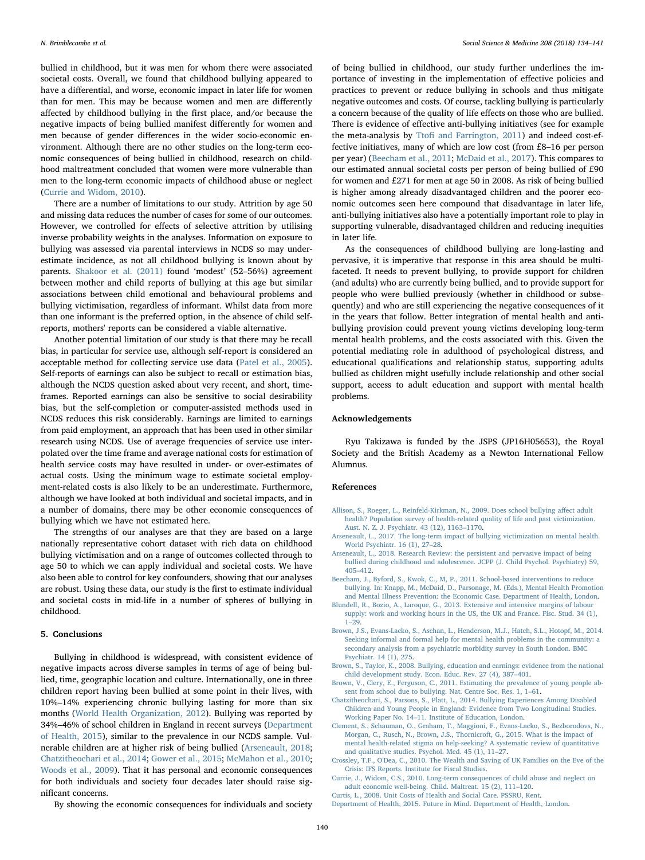bullied in childhood, but it was men for whom there were associated societal costs. Overall, we found that childhood bullying appeared to have a differential, and worse, economic impact in later life for women than for men. This may be because women and men are differently affected by childhood bullying in the first place, and/or because the negative impacts of being bullied manifest differently for women and men because of gender differences in the wider socio-economic environment. Although there are no other studies on the long-term economic consequences of being bullied in childhood, research on childhood maltreatment concluded that women were more vulnerable than men to the long-term economic impacts of childhood abuse or neglect ([Currie and Widom, 2010](#page-6-10)).

There are a number of limitations to our study. Attrition by age 50 and missing data reduces the number of cases for some of our outcomes. However, we controlled for effects of selective attrition by utilising inverse probability weights in the analyses. Information on exposure to bullying was assessed via parental interviews in NCDS so may underestimate incidence, as not all childhood bullying is known about by parents. [Shakoor et al. \(2011\)](#page-7-33) found 'modest' (52–56%) agreement between mother and child reports of bullying at this age but similar associations between child emotional and behavioural problems and bullying victimisation, regardless of informant. Whilst data from more than one informant is the preferred option, in the absence of child selfreports, mothers' reports can be considered a viable alternative.

Another potential limitation of our study is that there may be recall bias, in particular for service use, although self-report is considered an acceptable method for collecting service use data [\(Patel et al., 2005](#page-7-34)). Self-reports of earnings can also be subject to recall or estimation bias, although the NCDS question asked about very recent, and short, timeframes. Reported earnings can also be sensitive to social desirability bias, but the self-completion or computer-assisted methods used in NCDS reduces this risk considerably. Earnings are limited to earnings from paid employment, an approach that has been used in other similar research using NCDS. Use of average frequencies of service use interpolated over the time frame and average national costs for estimation of health service costs may have resulted in under- or over-estimates of actual costs. Using the minimum wage to estimate societal employment-related costs is also likely to be an underestimate. Furthermore, although we have looked at both individual and societal impacts, and in a number of domains, there may be other economic consequences of bullying which we have not estimated here.

The strengths of our analyses are that they are based on a large nationally representative cohort dataset with rich data on childhood bullying victimisation and on a range of outcomes collected through to age 50 to which we can apply individual and societal costs. We have also been able to control for key confounders, showing that our analyses are robust. Using these data, our study is the first to estimate individual and societal costs in mid-life in a number of spheres of bullying in childhood.

# 5. Conclusions

Bullying in childhood is widespread, with consistent evidence of negative impacts across diverse samples in terms of age of being bullied, time, geographic location and culture. Internationally, one in three children report having been bullied at some point in their lives, with 10%–14% experiencing chronic bullying lasting for more than six months ([World Health Organization, 2012\)](#page-7-35). Bullying was reported by 34%–46% of school children in England in recent surveys ([Department](#page-6-11) [of Health, 2015](#page-6-11)), similar to the prevalence in our NCDS sample. Vulnerable children are at higher risk of being bullied ([Arseneault, 2018](#page-6-0); [Chatzitheochari et al., 2014](#page-6-12); [Gower et al., 2015;](#page-7-36) [McMahon et al., 2010](#page-7-37); Woods [et al., 2009\)](#page-7-38). That it has personal and economic consequences for both individuals and society four decades later should raise significant concerns.

portance of investing in the implementation of effective policies and practices to prevent or reduce bullying in schools and thus mitigate negative outcomes and costs. Of course, tackling bullying is particularly a concern because of the quality of life effects on those who are bullied. There is evidence of effective anti-bullying initiatives (see for example the meta-analysis by Ttofi [and Farrington, 2011](#page-7-39)) and indeed cost-effective initiatives, many of which are low cost (from £8–16 per person per year) ([Beecham et al., 2011](#page-6-13); [McDaid et al., 2017\)](#page-7-40). This compares to our estimated annual societal costs per person of being bullied of £90 for women and £271 for men at age 50 in 2008. As risk of being bullied is higher among already disadvantaged children and the poorer economic outcomes seen here compound that disadvantage in later life, anti-bullying initiatives also have a potentially important role to play in supporting vulnerable, disadvantaged children and reducing inequities in later life.

of being bullied in childhood, our study further underlines the im-

As the consequences of childhood bullying are long-lasting and pervasive, it is imperative that response in this area should be multifaceted. It needs to prevent bullying, to provide support for children (and adults) who are currently being bullied, and to provide support for people who were bullied previously (whether in childhood or subsequently) and who are still experiencing the negative consequences of it in the years that follow. Better integration of mental health and antibullying provision could prevent young victims developing long-term mental health problems, and the costs associated with this. Given the potential mediating role in adulthood of psychological distress, and educational qualifications and relationship status, supporting adults bullied as children might usefully include relationship and other social support, access to adult education and support with mental health problems.

## Acknowledgements

Ryu Takizawa is funded by the JSPS (JP16H05653), the Royal Society and the British Academy as a Newton International Fellow Alumnus.

## References

- <span id="page-6-8"></span>[Allison, S., Roeger, L., Reinfeld-Kirkman, N., 2009. Does school bullying a](http://refhub.elsevier.com/S0277-9536(18)30249-1/sref1)ffect adult [health? Population survey of health-related quality of life and past victimization.](http://refhub.elsevier.com/S0277-9536(18)30249-1/sref1) [Aust. N. Z. J. Psychiatr. 43 \(12\), 1163](http://refhub.elsevier.com/S0277-9536(18)30249-1/sref1)–1170.
- <span id="page-6-1"></span>[Arseneault, L., 2017. The long-term impact of bullying victimization on mental health.](http://refhub.elsevier.com/S0277-9536(18)30249-1/sref2) [World Psychiatr. 16 \(1\), 27](http://refhub.elsevier.com/S0277-9536(18)30249-1/sref2)–28.
- <span id="page-6-0"></span>[Arseneault, L., 2018. Research Review: the persistent and pervasive impact of being](http://refhub.elsevier.com/S0277-9536(18)30249-1/sref3) [bullied during childhood and adolescence. JCPP \(J. Child Psychol. Psychiatry\) 59,](http://refhub.elsevier.com/S0277-9536(18)30249-1/sref3) 405–[412](http://refhub.elsevier.com/S0277-9536(18)30249-1/sref3).
- <span id="page-6-13"></span>[Beecham, J., Byford, S., Kwok, C., M, P., 2011. School-based interventions to reduce](http://refhub.elsevier.com/S0277-9536(18)30249-1/sref4) [bullying. In: Knapp, M., McDaid, D., Parsonage, M. \(Eds.\), Mental Health Promotion](http://refhub.elsevier.com/S0277-9536(18)30249-1/sref4) [and Mental Illness Prevention: the Economic Case. Department of Health, London.](http://refhub.elsevier.com/S0277-9536(18)30249-1/sref4)
- <span id="page-6-9"></span>[Blundell, R., Bozio, A., Laroque, G., 2013. Extensive and intensive margins of labour](http://refhub.elsevier.com/S0277-9536(18)30249-1/sref5) [supply: work and working hours in the US, the UK and France. Fisc. Stud. 34 \(1\),](http://refhub.elsevier.com/S0277-9536(18)30249-1/sref5) 1–[29.](http://refhub.elsevier.com/S0277-9536(18)30249-1/sref5)
- <span id="page-6-4"></span>[Brown, J.S., Evans-Lacko, S., Aschan, L., Henderson, M.J., Hatch, S.L., Hotopf, M., 2014.](http://refhub.elsevier.com/S0277-9536(18)30249-1/sref6) [Seeking informal and formal help for mental health problems in the community: a](http://refhub.elsevier.com/S0277-9536(18)30249-1/sref6) [secondary analysis from a psychiatric morbidity survey in South London. BMC](http://refhub.elsevier.com/S0277-9536(18)30249-1/sref6) [Psychiatr. 14 \(1\), 275.](http://refhub.elsevier.com/S0277-9536(18)30249-1/sref6)
- <span id="page-6-2"></span>[Brown, S., Taylor, K., 2008. Bullying, education and earnings: evidence from the national](http://refhub.elsevier.com/S0277-9536(18)30249-1/sref7) [child development study. Econ. Educ. Rev. 27 \(4\), 387](http://refhub.elsevier.com/S0277-9536(18)30249-1/sref7)–401.
- <span id="page-6-7"></span>[Brown, V., Clery, E., Ferguson, C., 2011. Estimating the prevalence of young people ab](http://refhub.elsevier.com/S0277-9536(18)30249-1/sref8)[sent from school due to bullying. Nat. Centre Soc. Res. 1, 1](http://refhub.elsevier.com/S0277-9536(18)30249-1/sref8)–61.
- <span id="page-6-12"></span>[Chatzitheochari, S., Parsons, S., Platt, L., 2014. Bullying Experiences Among Disabled](http://refhub.elsevier.com/S0277-9536(18)30249-1/sref9) [Children and Young People in England: Evidence from Two Longitudinal Studies.](http://refhub.elsevier.com/S0277-9536(18)30249-1/sref9) Working Paper No. 14–[11. Institute of Education, London](http://refhub.elsevier.com/S0277-9536(18)30249-1/sref9).
- <span id="page-6-5"></span>[Clement, S., Schauman, O., Graham, T., Maggioni, F., Evans-Lacko, S., Bezborodovs, N.,](http://refhub.elsevier.com/S0277-9536(18)30249-1/sref11) [Morgan, C., Rusch, N., Brown, J.S., Thornicroft, G., 2015. What is the impact of](http://refhub.elsevier.com/S0277-9536(18)30249-1/sref11) [mental health-related stigma on help-seeking? A systematic review of quantitative](http://refhub.elsevier.com/S0277-9536(18)30249-1/sref11) [and qualitative studies. Psychol. Med. 45 \(1\), 11](http://refhub.elsevier.com/S0277-9536(18)30249-1/sref11)–27.
- <span id="page-6-3"></span>[Crossley, T.F., O'Dea, C., 2010. The Wealth and Saving of UK Families on the Eve of the](http://refhub.elsevier.com/S0277-9536(18)30249-1/sref12) [Crisis: IFS Reports. Institute for Fiscal Studies](http://refhub.elsevier.com/S0277-9536(18)30249-1/sref12).
- <span id="page-6-10"></span>[Currie, J., Widom, C.S., 2010. Long-term consequences of child abuse and neglect on](http://refhub.elsevier.com/S0277-9536(18)30249-1/sref13) [adult economic well-being. Child. Maltreat. 15 \(2\), 111](http://refhub.elsevier.com/S0277-9536(18)30249-1/sref13)–120.

By showing the economic consequences for individuals and society

<span id="page-6-11"></span><span id="page-6-6"></span>[Curtis, L., 2008. Unit Costs of Health and Social Care. PSSRU, Kent.](http://refhub.elsevier.com/S0277-9536(18)30249-1/sref14) [Department of Health, 2015. Future in Mind. Department of Health, London.](http://refhub.elsevier.com/S0277-9536(18)30249-1/sref52)